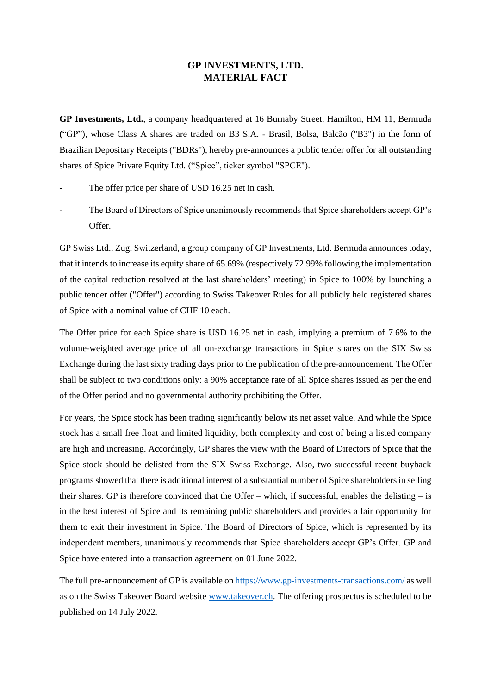## **GP INVESTMENTS, LTD. MATERIAL FACT**

**GP Investments, Ltd.**, a company headquartered at 16 Burnaby Street, Hamilton, HM 11, Bermuda **(**"GP"), whose Class A shares are traded on B3 S.A. - Brasil, Bolsa, Balcão ("B3") in the form of Brazilian Depositary Receipts ("BDRs"), hereby pre-announces a public tender offer for all outstanding shares of Spice Private Equity Ltd. ("Spice", ticker symbol "SPCE").

- The offer price per share of USD 16.25 net in cash.
- The Board of Directors of Spice unanimously recommends that Spice shareholders accept GP's Offer.

GP Swiss Ltd., Zug, Switzerland, a group company of GP Investments, Ltd. Bermuda announces today, that it intends to increase its equity share of 65.69% (respectively 72.99% following the implementation of the capital reduction resolved at the last shareholders' meeting) in Spice to 100% by launching a public tender offer ("Offer") according to Swiss Takeover Rules for all publicly held registered shares of Spice with a nominal value of CHF 10 each.

The Offer price for each Spice share is USD 16.25 net in cash, implying a premium of 7.6% to the volume-weighted average price of all on-exchange transactions in Spice shares on the SIX Swiss Exchange during the last sixty trading days prior to the publication of the pre-announcement. The Offer shall be subject to two conditions only: a 90% acceptance rate of all Spice shares issued as per the end of the Offer period and no governmental authority prohibiting the Offer.

For years, the Spice stock has been trading significantly below its net asset value. And while the Spice stock has a small free float and limited liquidity, both complexity and cost of being a listed company are high and increasing. Accordingly, GP shares the view with the Board of Directors of Spice that the Spice stock should be delisted from the SIX Swiss Exchange. Also, two successful recent buyback programs showed that there is additional interest of a substantial number of Spice shareholders in selling their shares. GP is therefore convinced that the Offer – which, if successful, enables the delisting – is in the best interest of Spice and its remaining public shareholders and provides a fair opportunity for them to exit their investment in Spice. The Board of Directors of Spice, which is represented by its independent members, unanimously recommends that Spice shareholders accept GP's Offer. GP and Spice have entered into a transaction agreement on 01 June 2022.

The full pre-announcement of GP is available o[n https://www.gp-investments-transactions.com/](https://www.gp-investments-transactions.com/) as well as on the Swiss Takeover Board website [www.takeover.ch.](http://www.takeover.ch/) The offering prospectus is scheduled to be published on 14 July 2022.